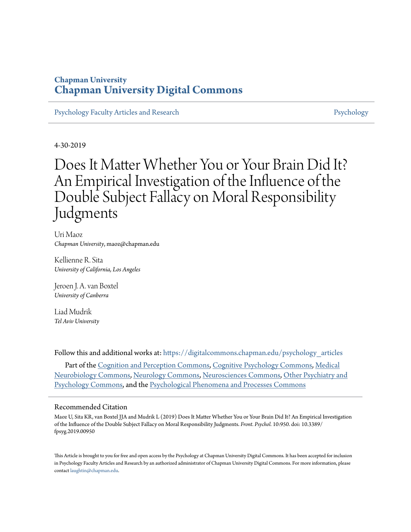## **Chapman University [Chapman University Digital Commons](https://digitalcommons.chapman.edu?utm_source=digitalcommons.chapman.edu%2Fpsychology_articles%2F150&utm_medium=PDF&utm_campaign=PDFCoverPages)**

[Psychology Faculty Articles and Research](https://digitalcommons.chapman.edu/psychology_articles?utm_source=digitalcommons.chapman.edu%2Fpsychology_articles%2F150&utm_medium=PDF&utm_campaign=PDFCoverPages) **[Psychology](https://digitalcommons.chapman.edu/psychology?utm_source=digitalcommons.chapman.edu%2Fpsychology_articles%2F150&utm_medium=PDF&utm_campaign=PDFCoverPages)** Psychology

4-30-2019

# Does It Matter Whether You or Your Brain Did It? An Empirical Investigation of the Influence of the Double Subject Fallacy on Moral Responsibility Judgments

Uri Maoz *Chapman University*, maoz@chapman.edu

Kellienne R. Sita *University of California, Los Angeles*

Jeroen J. A. van Boxtel *University of Canberra*

Liad Mudrik *Tel Aviv University*

Follow this and additional works at: [https://digitalcommons.chapman.edu/psychology\\_articles](https://digitalcommons.chapman.edu/psychology_articles?utm_source=digitalcommons.chapman.edu%2Fpsychology_articles%2F150&utm_medium=PDF&utm_campaign=PDFCoverPages)

Part of the [Cognition and Perception Commons](http://network.bepress.com/hgg/discipline/407?utm_source=digitalcommons.chapman.edu%2Fpsychology_articles%2F150&utm_medium=PDF&utm_campaign=PDFCoverPages), [Cognitive Psychology Commons](http://network.bepress.com/hgg/discipline/408?utm_source=digitalcommons.chapman.edu%2Fpsychology_articles%2F150&utm_medium=PDF&utm_campaign=PDFCoverPages), [Medical](http://network.bepress.com/hgg/discipline/674?utm_source=digitalcommons.chapman.edu%2Fpsychology_articles%2F150&utm_medium=PDF&utm_campaign=PDFCoverPages) [Neurobiology Commons](http://network.bepress.com/hgg/discipline/674?utm_source=digitalcommons.chapman.edu%2Fpsychology_articles%2F150&utm_medium=PDF&utm_campaign=PDFCoverPages), [Neurology Commons](http://network.bepress.com/hgg/discipline/692?utm_source=digitalcommons.chapman.edu%2Fpsychology_articles%2F150&utm_medium=PDF&utm_campaign=PDFCoverPages), [Neurosciences Commons,](http://network.bepress.com/hgg/discipline/1010?utm_source=digitalcommons.chapman.edu%2Fpsychology_articles%2F150&utm_medium=PDF&utm_campaign=PDFCoverPages) [Other Psychiatry and](http://network.bepress.com/hgg/discipline/992?utm_source=digitalcommons.chapman.edu%2Fpsychology_articles%2F150&utm_medium=PDF&utm_campaign=PDFCoverPages) [Psychology Commons,](http://network.bepress.com/hgg/discipline/992?utm_source=digitalcommons.chapman.edu%2Fpsychology_articles%2F150&utm_medium=PDF&utm_campaign=PDFCoverPages) and the [Psychological Phenomena and Processes Commons](http://network.bepress.com/hgg/discipline/914?utm_source=digitalcommons.chapman.edu%2Fpsychology_articles%2F150&utm_medium=PDF&utm_campaign=PDFCoverPages)

### Recommended Citation

Maoz U, Sita KR, van Boxtel JJA and Mudrik L (2019) Does It Matter Whether You or Your Brain Did It? An Empirical Investigation of the Influence of the Double Subject Fallacy on Moral Responsibility Judgments. *Front. Psychol.* 10:950. doi: 10.3389/ fpsyg.2019.00950

This Article is brought to you for free and open access by the Psychology at Chapman University Digital Commons. It has been accepted for inclusion in Psychology Faculty Articles and Research by an authorized administrator of Chapman University Digital Commons. For more information, please contact [laughtin@chapman.edu](mailto:laughtin@chapman.edu).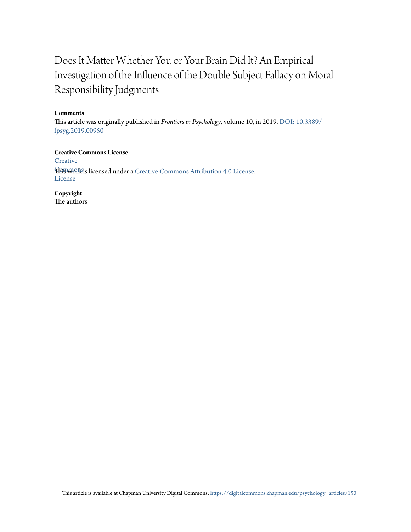# Does It Matter Whether You or Your Brain Did It? An Empirical Investigation of the Influence of the Double Subject Fallacy on Moral Responsibility Judgments

### **Comments**

This article was originally published in *Frontiers in Psychology*, volume 10, in 2019. [DOI: 10.3389/](https://doi.org/10.3389/fpsyg.2019.00950) [fpsyg.2019.00950](https://doi.org/10.3389/fpsyg.2019.00950)

**Creative Commons License [Creative](https://creativecommons.org/licenses/by/4.0/) This work is licensed under a** [Creative Commons Attribution 4.0 License.](https://creativecommons.org/licenses/by/4.0/)

**Copyright** The authors

License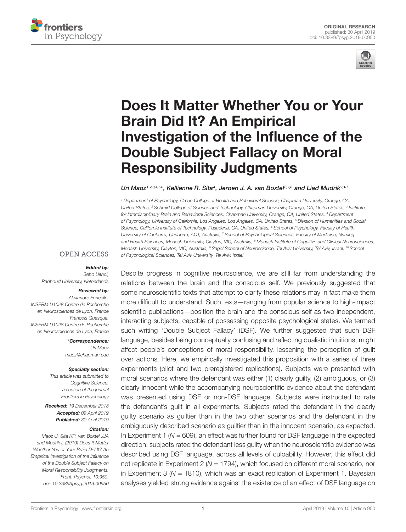



# Does It Matter Whether You or Your Brain Did It? An Empirical [Investigation of the Influence of the](https://www.frontiersin.org/articles/10.3389/fpsyg.2019.00950/full) Double Subject Fallacy on Moral Responsibility Judgments

### [Uri Maoz](http://loop.frontiersin.org/people/26219/overview)<sup>1,2,3,4,5\*</sup>, [Kellienne R. Sita](http://loop.frontiersin.org/people/656140/overview)<sup>4</sup>, [Jeroen J. A. van Boxtel](http://loop.frontiersin.org/people/17864/overview)<sup>6,7,8</sup> and [Liad Mudrik](http://loop.frontiersin.org/people/117446/overview)<sup>9,10</sup>

<sup>1</sup> Department of Psychology, Crean College of Health and Behavioral Science, Chapman University, Orange, CA, United States, <sup>2</sup> Schmid College of Science and Technology, Chapman University, Orange, CA, United States, <sup>3</sup> Institute for Interdisciplinary Brain and Behavioral Sciences, Chapman University, Orange, CA, United States, <sup>4</sup> Department of Psychology, University of California, Los Angeles, Los Angeles, CA, United States, <sup>5</sup> Division of Humanities and Social Science, California Institute of Technology, Pasadena, CA, United States, <sup>6</sup> School of Psychology, Faculty of Health, University of Canberra, Canberra, ACT, Australia, 7 School of Psychological Sciences, Faculty of Medicine, Nursing and Health Sciences, Monash University, Clayton, VIC, Australia, <sup>8</sup> Monash Institute of Cognitive and Clinical Neurosciences, Monash University, Clayton, VIC, Australia, <sup>9</sup> Sagol School of Neuroscience, Tel Aviv University, Tel Aviv, Israel, <sup>10</sup> School of Psychological Sciences, Tel Aviv University, Tel Aviv, Israel

### **OPEN ACCESS**

### Edited by:

Sebo Uithol, Radboud University, Netherlands

### Reviewed by:

Alexandre Foncelle, INSERM U1028 Centre de Recherche en Neurosciences de Lyon, France Francois Quesque, INSERM U1028 Centre de Recherche en Neurosciences de Lyon, France

> \*Correspondence: Uri Maoz maoz@chapman.edu

### Specialty section:

This article was submitted to Cognitive Science, a section of the journal Frontiers in Psychology

Received: 19 December 2018 Accepted: 09 April 2019 Published: 30 April 2019

### Citation:

Maoz U, Sita KR, van Boxtel JJA and Mudrik L (2019) Does It Matter Whether You or Your Brain Did It? An Empirical Investigation of the Influence of the Double Subject Fallacy on Moral Responsibility Judgments. Front. Psychol. 10:950. doi: [10.3389/fpsyg.2019.00950](https://doi.org/10.3389/fpsyg.2019.00950) Despite progress in cognitive neuroscience, we are still far from understanding the relations between the brain and the conscious self. We previously suggested that some neuroscientific texts that attempt to clarify these relations may in fact make them more difficult to understand. Such texts—ranging from popular science to high-impact scientific publications—position the brain and the conscious self as two independent, interacting subjects, capable of possessing opposite psychological states. We termed such writing 'Double Subject Fallacy' (DSF). We further suggested that such DSF language, besides being conceptually confusing and reflecting dualistic intuitions, might affect people's conceptions of moral responsibility, lessening the perception of guilt over actions. Here, we empirically investigated this proposition with a series of three experiments (pilot and two preregistered replications). Subjects were presented with moral scenarios where the defendant was either (1) clearly guilty, (2) ambiguous, or (3) clearly innocent while the accompanying neuroscientific evidence about the defendant was presented using DSF or non-DSF language. Subjects were instructed to rate the defendant's guilt in all experiments. Subjects rated the defendant in the clearly guilty scenario as guiltier than in the two other scenarios and the defendant in the ambiguously described scenario as guiltier than in the innocent scenario, as expected. In Experiment 1 ( $N = 609$ ), an effect was further found for DSF language in the expected direction: subjects rated the defendant less guilty when the neuroscientific evidence was described using DSF language, across all levels of culpability. However, this effect did not replicate in Experiment 2 ( $N = 1794$ ), which focused on different moral scenario, nor in Experiment 3 ( $N = 1810$ ), which was an exact replication of Experiment 1. Bayesian analyses yielded strong evidence against the existence of an effect of DSF language on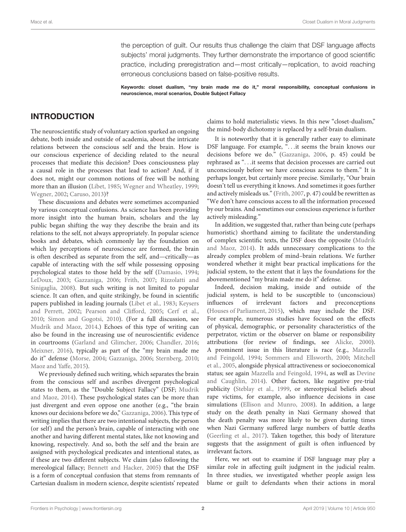the perception of guilt. Our results thus challenge the claim that DSF language affects subjects' moral judgments. They further demonstrate the importance of good scientific practice, including preregistration and—most critically—replication, to avoid reaching erroneous conclusions based on false-positive results.

Keywords: closet dualism, "my brain made me do it," moral responsibility, conceptual confusions in neuroscience, moral scenarios, Double Subject Fallacy

## INTRODUCTION

The neuroscientific study of voluntary action sparked an ongoing debate, both inside and outside of academia, about the intricate relations between the conscious self and the brain. How is our conscious experience of deciding related to the neural processes that mediate this decision? Does consciousness play a causal role in the processes that lead to action? And, if it does not, might our common notions of free will be nothing more than an illusion [\(Libet,](#page-12-0) [1985;](#page-12-0) [Wegner and Wheatley,](#page-12-1) [1999;](#page-12-1) [Wegner,](#page-12-2) [2002;](#page-12-2) [Caruso,](#page-11-0) [2013\)](#page-11-0)?

These discussions and debates were sometimes accompanied by various conceptual confusions. As science has been providing more insight into the human brain, scholars and the lay public began shifting the way they describe the brain and its relations to the self, not always appropriately. In popular science books and debates, which commonly lay the foundation on which lay perceptions of neuroscience are formed, the brain is often described as separate from the self, and—critically—as capable of interacting with the self while possessing opposing psychological states to those held by the self [\(Damasio,](#page-12-3) [1994;](#page-12-3) [LeDoux,](#page-12-4) [2003;](#page-12-4) [Gazzaniga,](#page-12-5) [2006;](#page-12-5) [Frith,](#page-12-6) [2007;](#page-12-6) [Rizzolatti and](#page-12-7) [Sinigaglia,](#page-12-7) [2008\)](#page-12-7). But such writing is not limited to popular science. It can often, and quite strikingly, be found in scientific papers published in leading journals [\(Libet et al.,](#page-12-8) [1983;](#page-12-8) [Keysers](#page-12-9) [and Perrett,](#page-12-9) [2002;](#page-12-9) [Pearson and Clifford,](#page-12-10) [2005;](#page-12-10) [Cerf et al.,](#page-12-11) [2010;](#page-12-11) [Simon and Gogotsi,](#page-12-12) [2010\)](#page-12-12). (For a full discussion, see [Mudrik and Maoz,](#page-12-13) [2014.](#page-12-13)) Echoes of this type of writing can also be found in the increasing use of neuroscientific evidence in courtrooms [\(Garland and Glimcher,](#page-12-14) [2006;](#page-12-14) [Chandler,](#page-12-15) [2016;](#page-12-15) [Meixner,](#page-12-16) [2016\)](#page-12-16), typically as part of the "my brain made me do it" defense [\(Morse,](#page-12-17) [2004;](#page-12-17) [Gazzaniga,](#page-12-5) [2006;](#page-12-5) [Sternberg,](#page-12-18) [2010;](#page-12-18) [Maoz and Yaffe,](#page-12-19) [2015\)](#page-12-19).

We previously defined such writing, which separates the brain from the conscious self and ascribes divergent psychological states to them, as the "Double Subject Fallacy" (DSF; [Mudrik](#page-12-13) [and Maoz,](#page-12-13) [2014\)](#page-12-13). These psychological states can be more than just divergent and even oppose one another (e.g., "the brain knows our decisions before we do," [Gazzaniga,](#page-12-5) [2006\)](#page-12-5). This type of writing implies that there are two intentional subjects, the person (or self) and the person's brain, capable of interacting with one another and having different mental states, like not knowing and knowing, respectively. And so, both the self and the brain are assigned with psychological predicates and intentional states, as if these are two different subjects. We claim (also following the mereological fallacy; [Bennett and Hacker,](#page-11-1) [2005\)](#page-11-1) that the DSF is a form of conceptual confusion that stems from remnants of Cartesian dualism in modern science, despite scientists' repeated

claims to hold materialistic views. In this new "closet-dualism," the mind-body dichotomy is replaced by a self-brain dualism.

It is noteworthy that it is generally rather easy to eliminate DSF language. For example, ". . .it seems the brain knows our decisions before we do." [\(Gazzaniga,](#page-12-5) [2006,](#page-12-5) p. 45) could be rephrased as ". . .it seems that decision processes are carried out unconsciously before we have conscious access to them." It is perhaps longer, but certainly more precise. Similarly, "Our brain doesn't tell us everything it knows. And sometimes it goes further and actively misleads us." [\(Frith,](#page-12-6) [2007,](#page-12-6) p. 47) could be rewritten as "We don't have conscious access to all the information processed by our brains. And sometimes our conscious experience is further actively misleading."

In addition, we suggested that, rather than being cute (perhaps humoristic) shorthand aiming to facilitate the understanding of complex scientific texts, the DSF does the opposite [\(Mudrik](#page-12-13) [and Maoz,](#page-12-13) [2014\)](#page-12-13). It adds unnecessary complications to the already complex problem of mind–brain relations. We further wondered whether it might bear practical implications for the judicial system, to the extent that it lays the foundations for the abovementioned "my brain made me do it" defense.

Indeed, decision making, inside and outside of the judicial system, is held to be susceptible to (unconscious) influences of irrelevant factors and preconceptions [\(Houses of Parliament,](#page-12-20) [2015\)](#page-12-20), which may include the DSF. For example, numerous studies have focused on the effects of physical, demographic, or personality characteristics of the perpetrator, victim or the observer on blame or responsibility attributions (for review of findings, see [Alicke,](#page-11-2) [2000\)](#page-11-2). A prominent issue in this literature is race (e.g., [Mazzella](#page-12-21) [and Feingold,](#page-12-21) [1994;](#page-12-21) [Sommers and Ellsworth,](#page-12-22) [2000;](#page-12-22) [Mitchell](#page-12-23) [et al.,](#page-12-23) [2005,](#page-12-23) alongside physical attractiveness or socioeconomical status; see again [Mazzella and Feingold,](#page-12-21) [1994,](#page-12-21) as well as [Devine](#page-12-24) [and Caughlin,](#page-12-24) [2014\)](#page-12-24). Other factors, like negative pre-trial publicity [\(Steblay et al.,](#page-12-25) [1999,](#page-12-25) or stereotypical beliefs about rape victims, for example, also influence decisions in case simulations [\(Ellison and Munro,](#page-12-26) [2008\)](#page-12-26). In addition, a large study on the death penalty in Nazi Germany showed that the death penalty was more likely to be given during times when Nazi Germany suffered large numbers of battle deaths [\(Geerling et al.,](#page-12-27) [2017\)](#page-12-27). Taken together, this body of literature suggests that the assignment of guilt is often influenced by irrelevant factors.

Here, we set out to examine if DSF language may play a similar role in affecting guilt judgment in the judicial realm. In three studies, we investigated whether people assign less blame or guilt to defendants when their actions in moral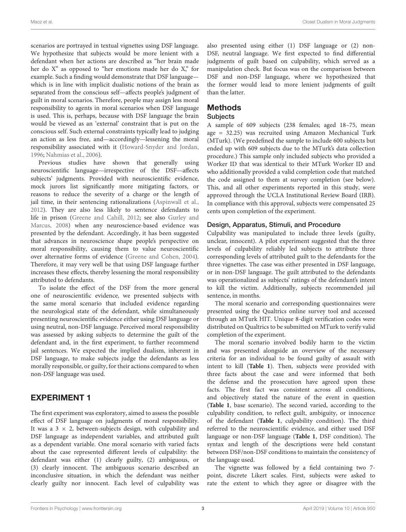scenarios are portrayed in textual vignettes using DSF language. We hypothesize that subjects would be more lenient with a defendant when her actions are described as "her brain made her do X" as opposed to "her emotions made her do X" for example. Such a finding would demonstrate that DSF language which is in line with implicit dualistic notions of the brain as separated from the conscious self—affects people's judgment of guilt in moral scenarios. Therefore, people may assign less moral responsibility to agents in moral scenarios when DSF language is used. This is, perhaps, because with DSF language the brain would be viewed as an 'external' constraint that is put on the conscious self. Such external constraints typically lead to judging an action as less free, and—accordingly—lessening the moral responsibility associated with it [\(Howard-Snyder and Jordan,](#page-12-28) [1996;](#page-12-28) [Nahmias et al.,](#page-12-29) [2006\)](#page-12-29).

Previous studies have shown that generally using neuroscientific language—irrespective of the DSF—affects subjects' judgments. Provided with neuroscientific evidence, mock jurors list significantly more mitigating factors, or reasons to reduce the severity of a charge or the length of jail time, in their sentencing rationalizations [\(Aspinwall et al.,](#page-11-3) [2012\)](#page-11-3). They are also less likely to sentence defendants to life in prison [\(Greene and Cahill,](#page-12-30) [2012;](#page-12-30) see also [Gurley and](#page-12-31) [Marcus,](#page-12-31) [2008\)](#page-12-31) when any neuroscience-based evidence was presented by the defendant. Accordingly, it has been suggested that advances in neuroscience shape people's perspective on moral responsibility, causing them to value neuroscientific over alternative forms of evidence [\(Greene and Cohen,](#page-12-32) [2004\)](#page-12-32). Therefore, it may very well be that using DSF language further increases these effects, thereby lessening the moral responsibility attributed to defendants.

To isolate the effect of the DSF from the more general one of neuroscientific evidence, we presented subjects with the same moral scenario that included evidence regarding the neurological state of the defendant, while simultaneously presenting neuroscientific evidence either using DSF language or using neutral, non-DSF language. Perceived moral responsibility was assessed by asking subjects to determine the guilt of the defendant and, in the first experiment, to further recommend jail sentences. We expected the implied dualism, inherent in DSF language, to make subjects judge the defendants as less morally responsible, or guilty, for their actions compared to when non-DSF language was used.

### EXPERIMENT 1

The first experiment was exploratory, aimed to assess the possible effect of DSF language on judgments of moral responsibility. It was a  $3 \times 2$ , between-subjects design, with culpability and DSF language as independent variables, and attributed guilt as a dependent variable. One moral scenario with varied facts about the case represented different levels of culpability: the defendant was either (1) clearly guilty, (2) ambiguous, or (3) clearly innocent. The ambiguous scenario described an inconclusive situation, in which the defendant was neither clearly guilty nor innocent. Each level of culpability was

also presented using either (1) DSF language or (2) non-DSF, neutral language. We first expected to find differential judgments of guilt based on culpability, which served as a manipulation check. But focus was on the comparison between DSF and non-DSF language, where we hypothesized that the former would lead to more lenient judgments of guilt than the latter.

### **Methods**

### **Subjects**

A sample of 609 subjects (238 females; aged 18–75, mean age = 32.25) was recruited using Amazon Mechanical Turk (MTurk). (We predefined the sample to include 600 subjects but ended up with 609 subjects due to the MTurk's data collection procedure.) This sample only included subjects who provided a Worker ID that was identical to their MTurk Worker ID and who additionally provided a valid completion code that matched the code assigned to them at survey completion (see below). This, and all other experiments reported in this study, were approved through the UCLA Institutional Review Board (IRB). In compliance with this approval, subjects were compensated 25 cents upon completion of the experiment.

### Design, Apparatus, Stimuli, and Procedure

Culpability was manipulated to include three levels (guilty, unclear, innocent). A pilot experiment suggested that the three levels of culpability reliably led subjects to attribute three corresponding levels of attributed guilt to the defendants for the three vignettes. The case was either presented in DSF language, or in non-DSF language. The guilt attributed to the defendants was operationalized as subjects' ratings of the defendant's intent to kill the victim. Additionally, subjects recommended jail sentence, in months.

The moral scenario and corresponding questionnaires were presented using the Qualtrics online survey tool and accessed through an MTurk HIT. Unique 8-digit verification codes were distributed on Qualtrics to be submitted on MTurk to verify valid completion of the experiment.

The moral scenario involved bodily harm to the victim and was presented alongside an overview of the necessary criteria for an individual to be found guilty of assault with intent to kill (**[Table 1](#page-5-0)**). Then, subjects were provided with three facts about the case and were informed that both the defense and the prosecution have agreed upon these facts. The first fact was consistent across all conditions, and objectively stated the nature of the event in question (**[Table 1](#page-5-0)**, base scenario). The second varied, according to the culpability condition, to reflect guilt, ambiguity, or innocence of the defendant (**[Table 1](#page-5-0)**, culpability condition). The third referred to the neuroscientific evidence, and either used DSF language or non-DSF language (**[Table 1](#page-5-0)**, DSF condition). The syntax and length of the descriptions were held constant between DSF/non-DSF conditions to maintain the consistency of the language used.

The vignette was followed by a field containing two 7 point, discrete Likert scales. First, subjects were asked to rate the extent to which they agree or disagree with the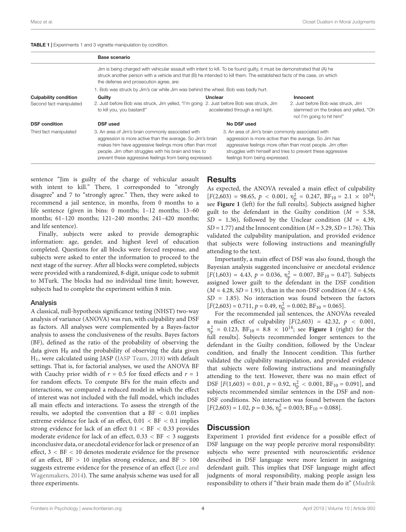<span id="page-5-0"></span>TABLE 1 | Experiments 1 and 3 vignette manipulation by condition.

|                                                         | <b>Base scenario</b>                                                                                                                                                                                                                                                                              |                                             |                                                                                                                                                                                                                                                                              |  |
|---------------------------------------------------------|---------------------------------------------------------------------------------------------------------------------------------------------------------------------------------------------------------------------------------------------------------------------------------------------------|---------------------------------------------|------------------------------------------------------------------------------------------------------------------------------------------------------------------------------------------------------------------------------------------------------------------------------|--|
|                                                         | Jim is being charged with vehicular assault with intent to kill. To be found quilty, it must be demonstrated that (A) he<br>struck another person with a vehicle and that (B) he intended to kill them. The established facts of the case, on which<br>the defense and prosecution agree, are:    |                                             |                                                                                                                                                                                                                                                                              |  |
|                                                         | 1. Bob was struck by Jim's car while Jim was behind the wheel. Bob was badly hurt.                                                                                                                                                                                                                |                                             |                                                                                                                                                                                                                                                                              |  |
| <b>Culpability condition</b><br>Second fact manipulated | Guilty<br>2. Just before Bob was struck, Jim yelled, "I'm going 2. Just before Bob was struck, Jim<br>to kill you, you bastard!"                                                                                                                                                                  | Unclear<br>accelerated through a red light. | Innocent<br>2. Just before Bob was struck, Jim<br>slammed on the brakes and yelled, "Oh<br>no! I'm going to hit him!"                                                                                                                                                        |  |
| <b>DSF</b> condition                                    | <b>DSF</b> used                                                                                                                                                                                                                                                                                   | No DSF used                                 |                                                                                                                                                                                                                                                                              |  |
| Third fact manipulated                                  | 3. An area of Jim's brain commonly associated with<br>aggression is more active than the average. So Jim's brain<br>makes him have aggressive feelings more often than most<br>people. Jim often struggles with his brain and tries to<br>prevent these aggressive feelings from being expressed. |                                             | 3. An area of Jim's brain commonly associated with<br>aggression is more active than the average. So Jim has<br>aggressive feelings more often than most people. Jim often<br>struggles with himself and tries to prevent these aggressive<br>feelings from being expressed. |  |

sentence "Jim is guilty of the charge of vehicular assault with intent to kill." There, 1 corresponded to "strongly disagree" and 7 to "strongly agree." Then, they were asked to recommend a jail sentence, in months, from 0 months to a life sentence (given in bins: 0 months; 1–12 months; 13–60 months; 61–120 months; 121–240 months; 241–420 months; and life sentence).

Finally, subjects were asked to provide demographic information: age, gender, and highest level of education completed. Questions for all blocks were forced response, and subjects were asked to enter the information to proceed to the next stage of the survey. After all blocks were completed, subjects were provided with a randomized, 8-digit, unique code to submit to MTurk. The blocks had no individual time limit; however, subjects had to complete the experiment within 8 min.

### Analysis

A classical, null-hypothesis significance testing (NHST) two-way analysis of variance (ANOVA) was run, with culpability and DSF as factors. All analyses were complemented by a Bayes-factor analysis to assess the conclusiveness of the results. Bayes factors (BF), defined as the ratio of the probability of observing the data given  $H_0$  and the probability of observing the data given H1, were calculated using JASP [\(JASP Team,](#page-12-33) [2018\)](#page-12-33) with default settings. That is, for factorial analyses, we used the ANOVA BF with Cauchy prior width of  $r = 0.5$  for fixed effects and  $r = 1$ for random effects. To compute BFs for the main effects and interactions, we compared a reduced model in which the effect of interest was not included with the full model, which includes all main effects and interactions. To assess the strength of the results, we adopted the convention that a  $BF < 0.01$  implies extreme evidence for lack of an effect,  $0.01 < BF < 0.1$  implies strong evidence for lack of an effect 0.1 < BF < 0.33 provides moderate evidence for lack of an effect,  $0.33 < BF < 3$  suggests inconclusive data, or anecdotal evidence for lack or presence of an effect, 3 < BF < 10 denotes moderate evidence for the presence of an effect,  $BF > 10$  implies strong evidence, and  $BF > 100$ suggests extreme evidence for the presence of an effect [\(Lee and](#page-12-34) [Wagenmakers,](#page-12-34) [2014\)](#page-12-34). The same analysis scheme was used for all three experiments.

### **Results**

As expected, the ANOVA revealed a main effect of culpability  $[F(2,603) = 98.65, p < 0.001, \eta_{\rm p}^2 = 0.247, \text{ BF}_{10} = 2.1 \times 10^{34};$ see **[Figure 1](#page-6-0)** (left) for the full results]. Subjects assigned higher guilt to the defendant in the Guilty condition ( $M = 5.58$ ,  $SD = 1.36$ ), followed by the Unclear condition ( $M = 4.39$ ,  $SD = 1.77$ ) and the Innocent condition ( $M = 3.29$ ,  $SD = 1.76$ ). This validated the culpability manipulation, and provided evidence that subjects were following instructions and meaningfully attending to the text.

Importantly, a main effect of DSF was also found, though the Bayesian analysis suggested inconclusive or anecdotal evidence  $[F(1,603) = 4.43, p = 0.036, \eta_{p}^{2} = 0.007, BF_{10} = 0.47]$ . Subjects assigned lower guilt to the defendant in the DSF condition  $(M = 4.28, SD = 1.91)$ , than in the non-DSF condition  $(M = 4.56,$  $SD = 1.85$ ). No interaction was found between the factors  $[F(2,603) = 0.711, p = 0.49, \eta_p^2 = 0.002; BF_{10} = 0.065].$ 

For the recommended jail sentences, the ANOVAs revealed a main effect of culpability  $[F(2,603) = 42.32, p < 0.001,$  $\eta_p^2 = 0.123$ ,  $BF_{10} = 8.8 \times 10^{14}$ ; see **[Figure 1](#page-6-0)** (right) for the full results]. Subjects recommended longer sentences to the defendant in the Guilty condition, followed by the Unclear condition, and finally the Innocent condition. This further validated the culpability manipulation, and provided evidence that subjects were following instructions and meaningfully attending to the text. However, there was no main effect of DSF  $[F(1,603) = 0.01, p = 0.92, \eta_{p}^{2} < 0.001, BF_{10} = 0.091]$ , and subjects recommended similar sentences in the DSF and non-DSF conditions. No interaction was found between the factors  $[F(2,603) = 1.02, p = 0.36, \eta_p^2 = 0.003; BF_{10} = 0.088].$ 

### **Discussion**

Experiment 1 provided first evidence for a possible effect of DSF language on the way people perceive moral responsibility: subjects who were presented with neuroscientific evidence described in DSF language were more lenient in assigning defendant guilt. This implies that DSF language might affect judgments of moral responsibility, making people assign less responsibility to others if "their brain made them do it" [\(Mudrik](#page-12-13)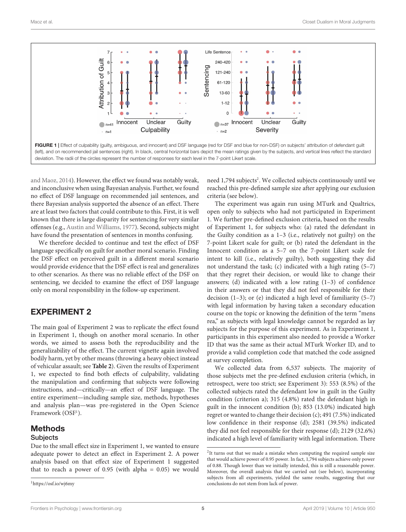

<span id="page-6-0"></span>[and Maoz,](#page-12-13) [2014\)](#page-12-13). However, the effect we found was notably weak, and inconclusive when using Bayesian analysis. Further, we found no effect of DSF language on recommended jail sentences, and there Bayesian analysis supported the absence of an effect. There are at least two factors that could contribute to this. First, it is well known that there is large disparity for sentencing for very similar offenses (e.g., [Austin and Williams,](#page-11-4) [1977\)](#page-11-4). Second, subjects might have found the presentation of sentences in months confusing.

We therefore decided to continue and test the effect of DSF language specifically on guilt for another moral scenario. Finding the DSF effect on perceived guilt in a different moral scenario would provide evidence that the DSF effect is real and generalizes to other scenarios. As there was no reliable effect of the DSF on sentencing, we decided to examine the effect of DSF language only on moral responsibility in the follow-up experiment.

## EXPERIMENT 2

The main goal of Experiment 2 was to replicate the effect found in Experiment 1, though on another moral scenario. In other words, we aimed to assess both the reproducibility and the generalizability of the effect. The current vignette again involved bodily harm, yet by other means (throwing a heavy object instead of vehicular assault; see **[Table 2](#page-7-0)**). Given the results of Experiment 1, we expected to find both effects of culpability, validating the manipulation and confirming that subjects were following instructions, and—critically—an effect of DSF language. The entire experiment—including sample size, methods, hypotheses and analysis plan—was pre-registered in the Open Science Framework (OSF<sup>[1](#page-6-1)</sup>).

## Methods

### **Subjects**

Due to the small effect size in Experiment 1, we wanted to ensure adequate power to detect an effect in Experiment 2. A power analysis based on that effect size of Experiment 1 suggested that to reach a power of  $0.95$  (with alpha =  $0.05$ ) we would

need 1,794 subjects<sup>[2](#page-6-2)</sup>. We collected subjects continuously until we reached this pre-defined sample size after applying our exclusion criteria (see below).

The experiment was again run using MTurk and Qualtrics, open only to subjects who had not participated in Experiment 1. We further pre-defined exclusion criteria, based on the results of Experiment 1, for subjects who: (a) rated the defendant in the Guilty condition as a 1–3 (i.e., relatively not guilty) on the 7-point Likert scale for guilt; or (b) rated the defendant in the Innocent condition as a 5–7 on the 7-point Likert scale for intent to kill (i.e., relatively guilty), both suggesting they did not understand the task; (c) indicated with a high rating (5–7) that they regret their decision, or would like to change their answers; (d) indicated with a low rating (1–3) of confidence in their answers or that they did not feel responsible for their decision  $(1-3)$ ; or  $(e)$  indicated a high level of familiarity  $(5-7)$ with legal information by having taken a secondary education course on the topic or knowing the definition of the term "mens rea," as subjects with legal knowledge cannot be regarded as lay subjects for the purpose of this experiment. As in Experiment 1, participants in this experiment also needed to provide a Worker ID that was the same as their actual MTurk Worker ID, and to provide a valid completion code that matched the code assigned at survey completion.

We collected data from 6,537 subjects. The majority of those subjects met the pre-defined exclusion criteria (which, in retrospect, were too strict; see Experiment 3): 553 (8.5%) of the collected subjects rated the defendant low in guilt in the Guilty condition (criterion a); 315 (4.8%) rated the defendant high in guilt in the innocent condition (b); 853 (13.0%) indicated high regret or wanted to change their decision (c); 491 (7.5%) indicated low confidence in their response (d); 2581 (39.5%) indicated they did not feel responsible for their response (d); 2129 (32.6%) indicated a high level of familiarity with legal information. There

<span id="page-6-1"></span><sup>1</sup><https://osf.io/wj6my>

<span id="page-6-2"></span> $2$ It turns out that we made a mistake when computing the required sample size that would achieve power of 0.95 power. In fact, 1,794 subjects achieve only power of 0.88. Though lower than we initially intended, this is still a reasonable power. Moreover, the overall analysis that we carried out (see below), incorporating subjects from all experiments, yielded the same results, suggesting that our conclusions do not stem from lack of power.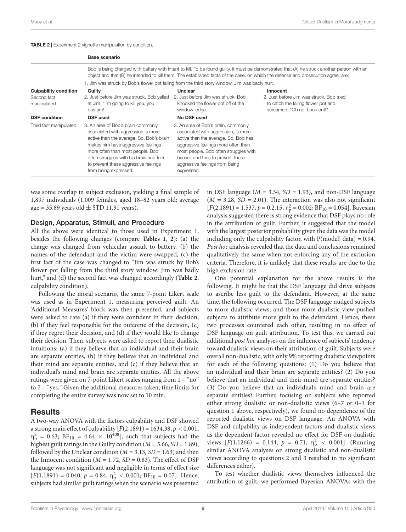#### <span id="page-7-0"></span>TABLE 2 | Experiment 2 vignette manipulation by condition.

|                                             | <b>Base scenario</b>                                                                                                                                                                                                                                                                                                                                                                |                                                                                                                                                                                                                                                                                          |                                                                     |  |
|---------------------------------------------|-------------------------------------------------------------------------------------------------------------------------------------------------------------------------------------------------------------------------------------------------------------------------------------------------------------------------------------------------------------------------------------|------------------------------------------------------------------------------------------------------------------------------------------------------------------------------------------------------------------------------------------------------------------------------------------|---------------------------------------------------------------------|--|
|                                             | Bob is being charged with battery with intent to kill. To be found guilty, it must be demonstrated that (A) he struck another person with an<br>object and that (B) he intended to kill them. The established facts of the case, on which the defense and prosecution agree, are:<br>1. Jim was struck by Bob's flower pot falling from the third story window. Jim was badly hurt. |                                                                                                                                                                                                                                                                                          |                                                                     |  |
| <b>Culpability condition</b><br>Second fact | Guilty<br>2. Just before Jim was struck, Bob yelled                                                                                                                                                                                                                                                                                                                                 | Unclear<br>2. Just before Jim was struck, Bob                                                                                                                                                                                                                                            | Innocent<br>2. Just before Jim was struck, Bob tried                |  |
| manipulated                                 | at Jim, "I'm going to kill you, you<br>bastard!'                                                                                                                                                                                                                                                                                                                                    | knocked the flower pot off of the<br>window ledge.                                                                                                                                                                                                                                       | to catch the falling flower pot and<br>screamed, "Oh no! Look out!" |  |
| <b>DSF</b> condition                        | <b>DSF</b> used                                                                                                                                                                                                                                                                                                                                                                     | No DSF used                                                                                                                                                                                                                                                                              |                                                                     |  |
| Third fact manipulated                      | 3. An area of Bob's brain commonly<br>associated with aggression is more<br>active than the average. So, Bob's brain<br>makes him have aggressive feelings<br>more often than most people. Bob<br>often struggles with his brain and tries<br>to prevent these aggressive feelings<br>from being expressed.                                                                         | 3. An area of Bob's brain, commonly<br>associated with aggression, is more<br>active than the average. So, Bob has<br>aggressive feelings more often than<br>most people. Bob often struggles with<br>himself and tries to prevent these<br>aggressive feelings from being<br>expressed. |                                                                     |  |

was some overlap in subject exclusion, yielding a final sample of 1,897 individuals (1,009 females, aged 18–82 years old; average age = 35.89 years old  $\pm$  STD 11.91 years).

### Design, Apparatus, Stimuli, and Procedure

All the above were identical to those used in Experiment 1, besides the following changes (compare **[Tables 1](#page-5-0)**, **[2](#page-7-0)**): (a) the charge was changed from vehicular assault to battery, (b) the names of the defendant and the victim were swapped, (c) the first fact of the case was changed to "Jim was struck by Bob's flower pot falling from the third story window. Jim was badly hurt," and (d) the second fact was changed accordingly (**[Table 2](#page-7-0)**, culpability condition).

Following the moral scenario, the same 7-point Likert scale was used as in Experiment 1, measuring perceived guilt. An 'Additional Measures' block was then presented, and subjects were asked to rate (a) if they were confident in their decision, (b) if they feel responsible for the outcome of the decision, (c) if they regret their decision, and (d) if they would like to change their decision. Then, subjects were asked to report their dualistic intuitions: (a) if they believe that an individual and their brain are separate entities, (b) if they believe that an individual and their mind are separate entities, and (c) if they believe that an individual's mind and brain are separate entities. All the above ratings were given on 7-point Likert scales ranging from 1 – "no" to 7 – "yes." Given the additional measures taken, time limits for completing the entire survey was now set to 10 min.

### Results

A two-way ANOVA with the factors culpability and DSF showed a strong main effect of culpability  $[F(2,1891) = 1634.38, p < 0.001,$  $\eta_{\rm p}^2$  = 0.63; BF<sub>10</sub> = 4.64  $\times$  10<sup>408</sup>], such that subjects had the highest guilt ratings in the Guilty condition ( $M = 5.66$ ,  $SD = 1.89$ ), followed by the Unclear condition ( $M = 3.13$ ,  $SD = 1.63$ ) and then the Innocent condition ( $M = 1.72$ ,  $SD = 0.83$ ). The effect of DSF language was not significant and negligible in terms of effect size  $[F(1,1891) = 0.040, p = 0.84, \eta_p^2 < 0.001; BF_{10} = 0.07]$ . Hence, subjects had similar guilt ratings when the scenario was presented

in DSF language ( $M = 3.34$ ,  $SD = 1.93$ ), and non-DSF language  $(M = 3.28, SD = 2.01)$ . The interaction was also not significant  $[F(2,1891) = 1.537, p = 0.2.15, \eta_p^2 = 0.002; BF_{10} = 0.054]$ . Bayesian analysis suggested there is strong evidence that DSF plays no role in the attribution of guilt. Further, it suggested that the model with the largest posterior probability given the data was the model including only the culpability factor, with  $P$ (model| data) = 0.94. Post hoc analysis revealed that the data and conclusions remained qualitatively the same when not enforcing any of the exclusion criteria. Therefore, it is unlikely that these results are due to the high exclusion rate.

One potential explanation for the above results is the following. It might be that the DSF language did drive subjects to ascribe less guilt to the defendant. However, at the same time, the following occurred. The DSF language nudged subjects to more dualistic views, and those more dualistic view pushed subjects to attribute more guilt to the defendant. Hence, these two processes countered each other, resulting in no effect of DSF language on guilt attribution. To test this, we carried out additional post hoc analyses on the influence of subjects' tendency toward dualistic views on their attribution of guilt. Subjects were overall non-dualistic, with only 9% reporting dualistic viewpoints for each of the following questions: (1) Do you believe that an individual and their brain are separate entities? (2) Do you believe that an individual and their mind are separate entities? (3) Do you believe that an individual's mind and brain are separate entities? Further, focusing on subjects who reported either strong dualistic or non-dualistic views (6–7 or 0–1 for question 1 above, respectively), we found no dependence of the reported dualistic views on DSF language. An ANOVA with DSF and culpability as independent factors and dualistic views as the dependent factor revealed no effect for DSF on dualistic views  $[F(1,1266) = 0.144, p = 0.71, \eta_p^2 < 0.001]$ . (Running similar ANOVA analyses on strong dualistic and non-dualistic views according to questions 2 and 3 resulted in no significant differences either).

To test whether dualistic views themselves influenced the attribution of guilt, we performed Bayesian ANOVAs with the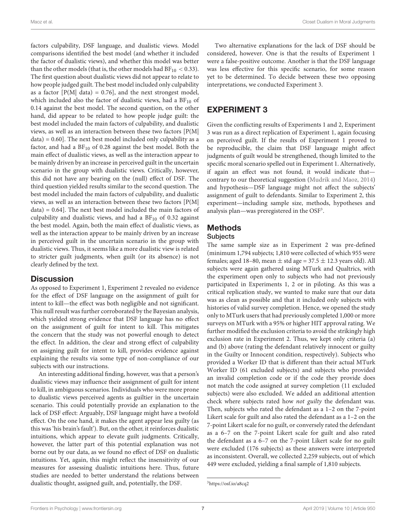factors culpability, DSF language, and dualistic views. Model comparisons identified the best model (and whether it included the factor of dualistic views), and whether this model was better than the other models (that is, the other models had  $BF_{10} < 0.33$ ). The first question about dualistic views did not appear to relate to how people judged guilt. The best model included only culpability as a factor  $[P(M| data) = 0.76]$ , and the next strongest model, which included also the factor of dualistic views, had a  $BF_{10}$  of 0.14 against the best model. The second question, on the other hand, did appear to be related to how people judge guilt: the best model included the main factors of culpability, and dualistic views, as well as an interaction between these two factors [P(M|  $data$ ) = 0.60]. The next best model included only culpability as a factor, and had a  $BF_{10}$  of 0.28 against the best model. Both the main effect of dualistic views, as well as the interaction appear to be mainly driven by an increase in perceived guilt in the uncertain scenario in the group with dualistic views. Critically, however, this did not have any bearing on the (null) effect of DSF. The third question yielded results similar to the second question. The best model included the main factors of culpability, and dualistic views, as well as an interaction between these two factors [P(M| data) = 0.64]. The next best model included the main factors of culpability and dualistic views, and had a  $BF_{10}$  of 0.32 against the best model. Again, both the main effect of dualistic views, as well as the interaction appear to be mainly driven by an increase in perceived guilt in the uncertain scenario in the group with dualistic views. Thus, it seems like a more dualistic view is related to stricter guilt judgments, when guilt (or its absence) is not clearly defined by the text.

### **Discussion**

As opposed to Experiment 1, Experiment 2 revealed no evidence for the effect of DSF language on the assignment of guilt for intent to kill—the effect was both negligible and not significant. This null result was further corroborated by the Bayesian analysis, which yielded strong evidence that DSF language has no effect on the assignment of guilt for intent to kill. This mitigates the concern that the study was not powerful enough to detect the effect. In addition, the clear and strong effect of culpability on assigning guilt for intent to kill, provides evidence against explaining the results via some type of non-compliance of our subjects with our instructions.

An interesting additional finding, however, was that a person's dualistic views may influence their assignment of guilt for intent to kill, in ambiguous scenarios. Individuals who were more prone to dualistic views perceived agents as guiltier in the uncertain scenario. This could potentially provide an explanation to the lack of DSF effect: Arguably, DSF language might have a twofold effect. On the one hand, it makes the agent appear less guilty (as this was 'his brain's fault'). But, on the other, it reinforces dualistic intuitions, which appear to elevate guilt judgments. Critically, however, the latter part of this potential explanation was not borne out by our data, as we found no effect of DSF on dualistic intuitions. Yet, again, this might reflect the insensitivity of our measures for assessing dualistic intuitions here. Thus, future studies are needed to better understand the relations between dualistic thought, assigned guilt, and, potentially, the DSF.

Two alternative explanations for the lack of DSF should be considered, however. One is that the results of Experiment 1 were a false-positive outcome. Another is that the DSF language was less effective for this specific scenario, for some reason yet to be determined. To decide between these two opposing interpretations, we conducted Experiment 3.

## EXPERIMENT 3

Given the conflicting results of Experiments 1 and 2, Experiment 3 was run as a direct replication of Experiment 1, again focusing on perceived guilt. If the results of Experiment 1 proved to be reproducible, the claim that DSF language might affect judgments of guilt would be strengthened, though limited to the specific moral scenario spelled out in Experiment 1. Alternatively, if again an effect was not found, it would indicate that contrary to our theoretical suggestion [\(Mudrik and Maoz,](#page-12-13) [2014\)](#page-12-13) and hypothesis—DSF language might not affect the subjects' assignment of guilt to defendants. Similar to Experiment 2, this experiment—including sample size, methods, hypotheses and analysis plan-was preregistered in the OSF<sup>[3](#page-8-0)</sup>.

### **Methods Subjects**

The same sample size as in Experiment 2 was pre-defined (minimum 1,794 subjects; 1,810 were collected of which 955 were females; aged 18–80, mean  $\pm$  std age = 37.5  $\pm$  12.3 years old). All subjects were again gathered using MTurk and Qualtrics, with the experiment open only to subjects who had not previously participated in Experiments 1, 2 or in piloting. As this was a critical replication study, we wanted to make sure that our data was as clean as possible and that it included only subjects with histories of valid survey completion. Hence, we opened the study only to MTurk users that had previously completed 1,000 or more surveys on MTurk with a 95% or higher HIT approval rating. We further modified the exclusion criteria to avoid the strikingly high exclusion rate in Experiment 2. Thus, we kept only criteria (a) and (b) above (rating the defendant relatively innocent or guilty in the Guilty or Innocent condition, respectively). Subjects who provided a Worker ID that is different than their actual MTurk Worker ID (61 excluded subjects) and subjects who provided an invalid completion code or if the code they provide does not match the code assigned at survey completion (11 excluded subjects) were also excluded. We added an additional attention check where subjects rated how not guilty the defendant was. Then, subjects who rated the defendant as a 1–2 on the 7-point Likert scale for guilt and also rated the defendant as a 1–2 on the 7-point Likert scale for no guilt, or conversely rated the defendant as a 6–7 on the 7-point Likert scale for guilt and also rated the defendant as a 6–7 on the 7-point Likert scale for no guilt were excluded (176 subjects) as these answers were interpreted as inconsistent. Overall, we collected 2,259 subjects, out of which 449 were excluded, yielding a final sample of 1,810 subjects.

<span id="page-8-0"></span><sup>3</sup><https://osf.io/a8cq2>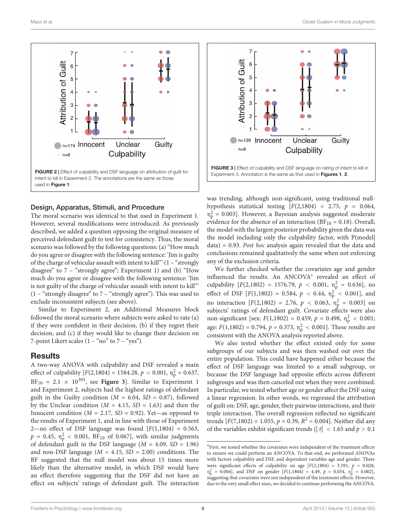

### <span id="page-9-1"></span>Design, Apparatus, Stimuli, and Procedure

The moral scenario was identical to that used in Experiment 1. However, several modifications were introduced. As previously described, we added a question opposing the original measure of perceived defendant guilt to test for consistency. Thus, the moral scenario was followed by the following questions: (a) "How much do you agree or disagree with the following sentence: 'Jim is guilty of the charge of vehicular assault with intent to kill"' (1 – "strongly disagree" to 7 – "strongly agree"; Experiment 1) and (b) "How much do you agree or disagree with the following sentence: 'Jim is not guilty of the charge of vehicular assault with intent to kill"' (1 – "strongly disagree" to 7 – "strongly agree"). This was used to exclude inconsistent subjects (see above).

Similar to Experiment 2, an Additional Measures block followed the moral scenario where subjects were asked to rate (a) if they were confident in their decision, (b) if they regret their decision, and (c) if they would like to change their decision on 7-point Likert scales  $(1 - "no"$  to  $7 - "yes").$ 

### **Results**

A two-way ANOVA with culpability and DSF revealed a main effect of culpability  $[F(2,1804) = 1584.28, p < 0.001, \eta_{\rm p}^2 = 0.637,$  $BF_{10} = 2.1 \times 10^{393}$ , see **[Figure 3](#page-9-0)**. Similar to Experiment 1 and Experiment 2, subjects had the highest ratings of defendant guilt in the Guilty condition ( $M = 6.04$ ,  $SD = 0.87$ ), followed by the Unclear condition ( $M = 4.15$ ,  $SD = 1.63$ ) and then the Innocent condition ( $M = 2.17$ ,  $SD = 0.92$ ). Yet—as opposed to the results of Experiment 1, and in line with those of Experiment 2—no effect of DSF language was found  $[F(1,1804) = 0.563,$  $p = 0.45$ ,  $\eta_{\rm p}^2 < 0.001$ ,  $\rm BF_{10}$  of 0.067], with similar judgments of defendant guilt in the DSF language ( $M = 4.09$ ,  $SD = 1.96$ ) and non-DSF language ( $M = 4.15$ ,  $SD = 2.00$ ) conditions. The BF suggested that the null model was about 15 times more likely than the alternative model, in which DSF would have an effect therefore suggesting that the DSF did not have an effect on subjects' ratings of defendant guilt. The interaction



<span id="page-9-0"></span>was trending, although non-significant, using traditional nullhypothesis statistical testing  $[F(2,1804) = 2.75, p = 0.064,$  $\eta_p^2$  = 0.003]. However, a Bayesian analysis suggested moderate evidence for the absence of an interaction ( $BF_{10} = 0.18$ ). Overall, the model with the largest posterior probability given the data was the model including only the culpability factor, with P(model| data) = 0.93. Post hoc analysis again revealed that the data and conclusions remained qualitatively the same when not enforcing any of the exclusion criteria.

We further checked whether the covariates age and gender influenced the results. An ANCOVA<sup>[4](#page-9-2)</sup> revealed an effect of culpability  $[F(2,1802) = 1576.79, p < 0.001, \eta_{p}^{2} = 0.636]$ , no effect of DSF  $[F(1,1802) = 0.584, p < 0.44, \eta_{p}^{2} < 0.001]$ , and no interaction  $[F(2,1802) = 2.76, p < 0.063, \eta_{\rm p}^2 = 0.003]$  on subjects' ratings of defendant guilt. Covariate effects were also non-significant [sex:  $F(1,1802) = 0.459$ ,  $p = 0.498$ ,  $\eta_p^2 < 0.001$ ; age:  $F(1,1802) = 0.794$ ,  $p = 0.373$ ,  $\eta_p^2 < 0.001$ . These results are consistent with the ANOVA analysis reported above.

We also tested whether the effect existed only for some subgroups of our subjects and was then washed out over the entire population. This could have happened either because the effect of DSF language was limited to a small subgroup, or because the DSF language had opposite effects across different subgroups and was then canceled out when they were combined. In particular, we tested whether age or gender affect the DSF using a linear regression. In other words, we regressed the attribution of guilt on: DSF, age, gender, their pairwise interactions, and their triple interaction. The overall regression reflected no significant trends  $[F(7,1802) = 1.055, p = 0.39, R^2 = 0.004]$ . Neither did any of the variables exhibit significant trends ( $|t| < 1.65$  and  $p > 0.1$ 

<span id="page-9-2"></span><sup>&</sup>lt;sup>4</sup>First, we tested whether the covariates were independent of the treatment effects to ensure we could perform an ANCOVA. To that end, we performed ANOVAs with factors culpability and DSF, and dependent variables age and gender. There were significant effects of culpability on age  $[F(2,1804) = 3.591, p = 0.028,$  $\eta_p^2 = 0.004$ , and DSF on gender [F(1,1804) = 4.49, p = 0.034,  $\eta_p^2$  $= 0.002$ ], suggesting that covariates were not independent of the treatment effects. However, due to the very small effect sizes, we decided to continue performing the ANCOVA.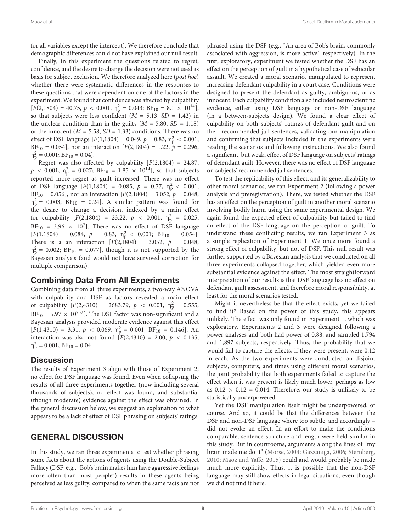for all variables except the intercept). We therefore conclude that demographic differences could not have explained our null result.

Finally, in this experiment the questions related to regret, confidence, and the desire to change the decision were not used as basis for subject exclusion. We therefore analyzed here (post hoc) whether there were systematic differences in the responses to these questions that were dependent on one of the factors in the experiment. We found that confidence was affected by culpability  $[F(2,1804) = 40.75, p < 0.001, \eta_{\rm p}^2 = 0.043; \text{ BF}_{10} = 8.1 \times 10^{14}],$ so that subjects were less confident ( $M = 5.13$ ,  $SD = 1.42$ ) in the unclear condition than in the guilty  $(M = 5.80, SD = 1.18)$ or the innocent ( $M = 5.58$ ,  $SD = 1.33$ ) conditions. There was no effect of DSF language  $[F(1,1804) = 0.049, p = 0.83, \eta_{\rm p}^2 < 0.001;$  $BF_{10} = 0.054$ , nor an interaction  $[F(2,1804) = 1.22, p = 0.296,$  $\eta_p^2 = 0.001; BF_{10} = 0.04$ .

Regret was also affected by culpability  $[F(2,1804) = 24.87,$  $p < 0.001$ ,  $\eta_p^2 = 0.027$ ;  $BF_{10} = 1.85 \times 10^{14}$ ], so that subjects reported more regret as guilt increased. There was no effect of DSF language  $[F(1,1804) = 0.085, p = 0.77, \eta_p^2 < 0.001;$  $BF_{10} = 0.056$ , nor an interaction  $[F(2,1804) = 3.052, p = 0.048,$  $\eta_p^2 = 0.003$ ; BF<sub>10</sub> = 0.24]. A similar pattern was found for the desire to change a decision, indexed by a main effect for culpability  $[F(2,1804) = 23.22, p < 0.001, \eta_p^2 = 0.025;$  $BF_{10}$  = 3.96  $\times$  10<sup>7</sup>]. There was no effect of DSF language  $[F(1,1804) = 0.084, p = 0.83, \eta_{p}^{2} < 0.001; BF_{10} = 0.054].$ There is a an interaction  $[F(2,1804) = 3.052, p = 0.048,$  $\eta_p^2 = 0.002$ ; BF<sub>10</sub> = 0.077], though it is not supported by the Bayesian analysis (and would not have survived correction for multiple comparison).

### Combining Data From All Experiments

Combining data from all three experiments, a two-way ANOVA with culpability and DSF as factors revealed a main effect of culpability  $[F(2,4310) = 2683.79, p < 0.001, \eta_p^2 = 0.555,$  $BF_{10} = 5.97 \times 10^{752}$ . The DSF factor was non-significant and a Bayesian analysis provided moderate evidence against this effect  $[F(1,4310) = 3.31, p < 0.069, \eta_{p}^{2} = 0.001, BF_{10} = 0.146]$ . An interaction was also not found  $[ F(2,4310) = 2.00, p < 0.135,$  $\eta_p^2 = 0.001$ ,  $BF_{10} = 0.04$ .

### **Discussion**

The results of Experiment 3 align with those of Experiment 2; no effect for DSF language was found. Even when collapsing the results of all three experiments together (now including several thousands of subjects), no effect was found, and substantial (though moderate) evidence against the effect was obtained. In the general discussion below, we suggest an explanation to what appears to be a lack of effect of DSF phrasing on subjects' ratings.

## GENERAL DISCUSSION

In this study, we ran three experiments to test whether phrasing some facts about the actions of agents using the Double-Subject Fallacy (DSF; e.g., "Bob's brain makes him have aggressive feelings more often than most people") results in these agents being perceived as less guilty, compared to when the same facts are not

phrased using the DSF (e.g., "An area of Bob's brain, commonly associated with aggression, is more active," respectively). In the first, exploratory, experiment we tested whether the DSF has an effect on the perception of guilt in a hypothetical case of vehicular assault. We created a moral scenario, manipulated to represent increasing defendant culpability in a court case. Conditions were designed to present the defendant as guilty, ambiguous, or as innocent. Each culpability condition also included neuroscientific evidence, either using DSF language or non-DSF language (in a between-subjects design). We found a clear effect of culpability on both subjects' ratings of defendant guilt and on their recommended jail sentences, validating our manipulation and confirming that subjects included in the experiments were reading the scenarios and following instructions. We also found a significant, but weak, effect of DSF language on subjects' ratings of defendant guilt. However, there was no effect of DSF language on subjects' recommended jail sentences.

To test the replicability of this effect, and its generalizability to other moral scenarios, we ran Experiment 2 (following a power analysis and preregistration). There, we tested whether the DSF has an effect on the perception of guilt in another moral scenario involving bodily harm using the same experimental design. We again found the expected effect of culpability but failed to find an effect of the DSF language on the perception of guilt. To understand these conflicting results, we ran Experiment 3 as a simple replication of Experiment 1. We once more found a strong effect of culpability, but not of DSF. This null result was further supported by a Bayesian analysis that we conducted on all three experiments collapsed together, which yielded even more substantial evidence against the effect. The most straightforward interpretation of our results is that DSF language has no effect on defendant guilt assessment, and therefore moral responsibility, at least for the moral scenarios tested.

Might it nevertheless be that the effect exists, yet we failed to find it? Based on the power of this study, this appears unlikely. The effect was only found in Experiment 1, which was exploratory. Experiments 2 and 3 were designed following a power analyses and both had power of 0.88, and sampled 1,794 and 1,897 subjects, respectively. Thus, the probability that we would fail to capture the effects, if they were present, were 0.12 in each. As the two experiments were conducted on disjoint subjects, computers, and times using different moral scenarios, the joint probability that both experiments failed to capture the effect when it was present is likely much lower, perhaps as low as  $0.12 \times 0.12 = 0.014$ . Therefore, our study is unlikely to be statistically underpowered.

Yet the DSF manipulation itself might be underpowered, of course. And so, it could be that the differences between the DSF and non-DSF language where too subtle, and accordingly – did not evoke an effect. In an effort to make the conditions comparable, sentence structure and length were held similar in this study. But in courtrooms, arguments along the lines of "my brain made me do it" [\(Morse,](#page-12-17) [2004;](#page-12-17) [Gazzaniga,](#page-12-5) [2006;](#page-12-5) [Sternberg,](#page-12-18) [2010;](#page-12-18) [Maoz and Yaffe,](#page-12-19) [2015\)](#page-12-19) could and would probably be made much more explicitly. Thus, it is possible that the non-DSF language may still show effects in legal situations, even though we did not find it here.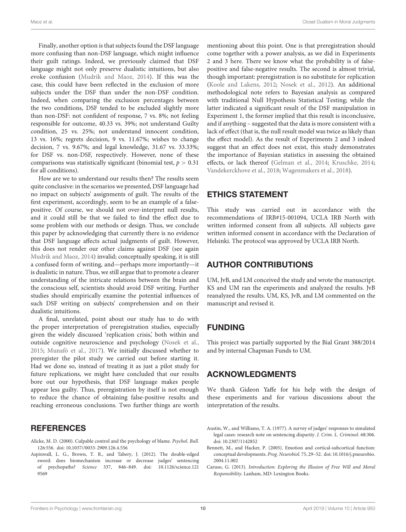Finally, another option is that subjects found the DSF language more confusing than non-DSF language, which might influence their guilt ratings. Indeed, we previously claimed that DSF language might not only preserve dualistic intuitions, but also evoke confusion [\(Mudrik and Maoz,](#page-12-13) [2014\)](#page-12-13). If this was the case, this could have been reflected in the exclusion of more subjects under the DSF than under the non-DSF condition. Indeed, when comparing the exclusion percentages between the two conditions, DSF tended to be excluded slightly more than non-DSF: not confident of response, 7 vs. 8%; not feeling responsible for outcome, 40.33 vs. 39%; not understand Guilty condition, 25 vs. 25%; not understand innocent condition, 13 vs. 16%; regrets decision, 9 vs. 11.67%; wishes to change decision, 7 vs. 9.67%; and legal knowledge, 31.67 vs. 33.33%; for DSF vs. non-DSF, respectively. However, none of these comparisons was statistically significant (binomial test,  $p > 0.31$ ) for all conditions).

How are we to understand our results then? The results seem quite conclusive: in the scenarios we presented, DSF language had no impact on subjects' assignments of guilt. The results of the first experiment, accordingly, seem to be an example of a falsepositive. Of course, we should not over-interpret null results, and it could still be that we failed to find the effect due to some problem with our methods or design. Thus, we conclude this paper by acknowledging that currently there is no evidence that DSF language affects actual judgments of guilt. However, this does not render our other claims against DSF (see again [Mudrik and Maoz,](#page-12-13) [2014\)](#page-12-13) invalid; conceptually speaking, it is still a confused form of writing, and—perhaps more importantly—it is dualistic in nature. Thus, we still argue that to promote a clearer understanding of the intricate relations between the brain and the conscious self, scientists should avoid DSF writing. Further studies should empirically examine the potential influences of such DSF writing on subjects' comprehension and on their dualistic intuitions.

A final, unrelated, point about our study has to do with the proper interpretation of preregistration studies, especially given the widely discussed 'replication crisis,' both within and outside cognitive neuroscience and psychology [\(Nosek et al.,](#page-12-35) [2015;](#page-12-35) [Munafò et al.,](#page-12-36) [2017\)](#page-12-36). We initially discussed whether to preregister the pilot study we carried out before starting it. Had we done so, instead of treating it as just a pilot study for future replications, we might have concluded that our results bore out our hypothesis, that DSF language makes people appear less guilty. Thus, preregistration by itself is not enough to reduce the chance of obtaining false-positive results and reaching erroneous conclusions. Two further things are worth

### **REFERENCES**

- <span id="page-11-2"></span>Alicke, M. D. (2000). Culpable control and the psychology of blame. Psychol. Bull. 126:556. [doi: 10.1037//0033-2909.126.4.556](https://doi.org/10.1037//0033-2909.126.4.556)
- <span id="page-11-3"></span>Aspinwall, L. G., Brown, T. R., and Tabery, J. (2012). The double-edged sword: does biomechanism increase or decrease judges' sentencing of psychopaths? Science 337, 846–849. [doi: 10.1126/science.121](https://doi.org/10.1126/science.1219569) [9569](https://doi.org/10.1126/science.1219569)

mentioning about this point. One is that preregistration should come together with a power analysis, as we did in Experiments 2 and 3 here. There we know what the probability is of falsepositive and false-negative results. The second is almost trivial, though important: preregistration is no substitute for replication [\(Koole and Lakens,](#page-12-37) [2012;](#page-12-37) [Nosek et al.,](#page-12-38) [2012\)](#page-12-38). An additional methodological note refers to Bayesian analysis as compared with traditional Null Hypothesis Statistical Testing; while the latter indicated a significant result of the DSF manipulation in Experiment 1, the former implied that this result is inconclusive, and if anything – suggested that the data is more consistent with a lack of effect (that is, the null result model was twice as likely than the effect model). As the result of Experiments 2 and 3 indeed suggest that an effect does not exist, this study demonstrates the importance of Bayesian statistics in assessing the obtained effects, or lack thereof [\(Gelman et al.,](#page-12-39) [2014;](#page-12-39) [Kruschke,](#page-12-40) [2014;](#page-12-40) [Vandekerckhove et al.,](#page-12-41) [2018;](#page-12-41) [Wagenmakers et al.,](#page-12-42) [2018\)](#page-12-42).

## ETHICS STATEMENT

This study was carried out in accordance with the recommendations of IRB#15-001094, UCLA IRB North with written informed consent from all subjects. All subjects gave written informed consent in accordance with the Declaration of Helsinki. The protocol was approved by UCLA IRB North.

## AUTHOR CONTRIBUTIONS

UM, JvB, and LM conceived the study and wrote the manuscript. KS and UM ran the experiments and analyzed the results. JvB reanalyzed the results. UM, KS, JvB, and LM commented on the manuscript and revised it.

## FUNDING

This project was partially supported by the Bial Grant 388/2014 and by internal Chapman Funds to UM.

## ACKNOWLEDGMENTS

We thank Gideon Yaffe for his help with the design of these experiments and for various discussions about the interpretation of the results.

- <span id="page-11-4"></span>Austin, W., and Williams, T. A. (1977). A survey of judges' responses to simulated legal cases: research note on sentencing disparity. J. Crim. L. Criminol. 68:306. [doi: 10.2307/1142852](https://doi.org/10.2307/1142852)
- <span id="page-11-1"></span>Bennett, M., and Hacker, P. (2005). Emotion and cortical-subcortical function: conceptual developments. Prog. Neurobiol. 75, 29–52. [doi: 10.1016/j.pneurobio.](https://doi.org/10.1016/j.pneurobio.2004.11.002) [2004.11.002](https://doi.org/10.1016/j.pneurobio.2004.11.002)
- <span id="page-11-0"></span>Caruso, G. (2013). Introduction: Exploring the Illusion of Free Will and Moral Responsibility. Lanham, MD: Lexington Books.